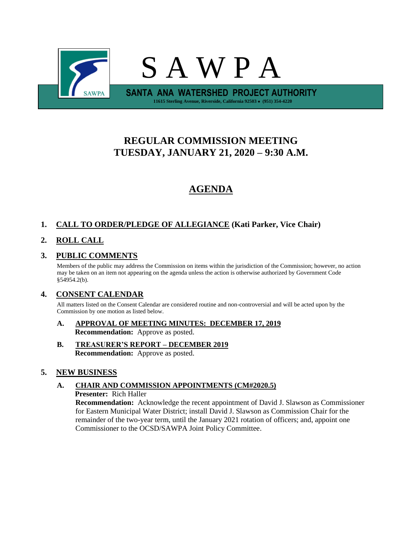

# **REGULAR COMMISSION MEETING TUESDAY, JANUARY 21, 2020 – 9:30 A.M.**

# **AGENDA**

# **1. CALL TO ORDER/PLEDGE OF ALLEGIANCE (Kati Parker, Vice Chair)**

# **2. ROLL CALL**

# **3. PUBLIC COMMENTS**

Members of the public may address the Commission on items within the jurisdiction of the Commission; however, no action may be taken on an item not appearing on the agenda unless the action is otherwise authorized by Government Code §54954.2(b).

# **4. CONSENT CALENDAR**

All matters listed on the Consent Calendar are considered routine and non-controversial and will be acted upon by the Commission by one motion as listed below.

- **A. APPROVAL OF MEETING MINUTES: DECEMBER 17, 2019 Recommendation:** Approve as posted.
- **B. TREASURER'S REPORT – DECEMBER 2019 Recommendation:** Approve as posted.

# **5. NEW BUSINESS**

# **A. CHAIR AND COMMISSION APPOINTMENTS (CM#2020.5)**

**Presenter:** Rich Haller

**Recommendation:** Acknowledge the recent appointment of David J. Slawson as Commissioner for Eastern Municipal Water District; install David J. Slawson as Commission Chair for the remainder of the two-year term, until the January 2021 rotation of officers; and, appoint one Commissioner to the OCSD/SAWPA Joint Policy Committee.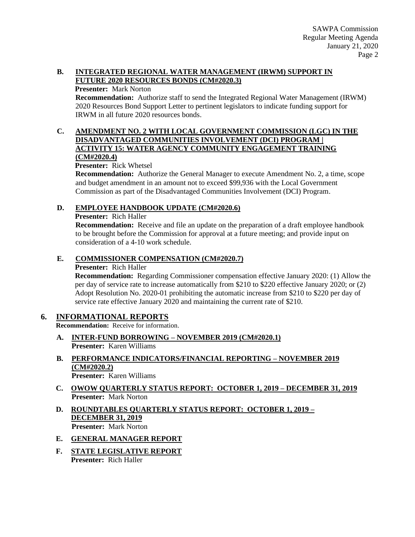#### **B. INTEGRATED REGIONAL WATER MANAGEMENT (IRWM) SUPPORT IN FUTURE 2020 RESOURCES BONDS (CM#2020.3)**

#### **Presenter:** Mark Norton

**Recommendation:** Authorize staff to send the Integrated Regional Water Management (IRWM) 2020 Resources Bond Support Letter to pertinent legislators to indicate funding support for IRWM in all future 2020 resources bonds.

#### **C. AMENDMENT NO. 2 WITH LOCAL GOVERNMENT COMMISSION (LGC) IN THE DISADVANTAGED COMMUNITIES INVOLVEMENT (DCI) PROGRAM | ACTIVITY 15: WATER AGENCY COMMUNITY ENGAGEMENT TRAINING (CM#2020.4)**

#### **Presenter:** Rick Whetsel

**Recommendation:** Authorize the General Manager to execute Amendment No. 2, a time, scope and budget amendment in an amount not to exceed \$99,936 with the Local Government Commission as part of the Disadvantaged Communities Involvement (DCI) Program.

## **D. EMPLOYEE HANDBOOK UPDATE (CM#2020.6)**

**Presenter:** Rich Haller

**Recommendation:** Receive and file an update on the preparation of a draft employee handbook to be brought before the Commission for approval at a future meeting; and provide input on consideration of a 4-10 work schedule.

## **E. COMMISSIONER COMPENSATION (CM#2020.7)**

#### **Presenter:** Rich Haller

**Recommendation:** Regarding Commissioner compensation effective January 2020: (1) Allow the per day of service rate to increase automatically from \$210 to \$220 effective January 2020; or (2) Adopt Resolution No. 2020-01 prohibiting the automatic increase from \$210 to \$220 per day of service rate effective January 2020 and maintaining the current rate of \$210.

# **6. INFORMATIONAL REPORTS**

**Recommendation:** Receive for information.

- **A. INTER-FUND BORROWING – NOVEMBER 2019 (CM#2020.1) Presenter:** Karen Williams
- **B. PERFORMANCE INDICATORS/FINANCIAL REPORTING – NOVEMBER 2019 (CM#2020.2) Presenter:** Karen Williams
- **C. OWOW QUARTERLY STATUS REPORT: OCTOBER 1, 2019 – DECEMBER 31, 2019 Presenter:** Mark Norton
- **D. ROUNDTABLES QUARTERLY STATUS REPORT: OCTOBER 1, 2019 – DECEMBER 31, 2019 Presenter:** Mark Norton
- **E. GENERAL MANAGER REPORT**
- **F. STATE LEGISLATIVE REPORT Presenter:** Rich Haller